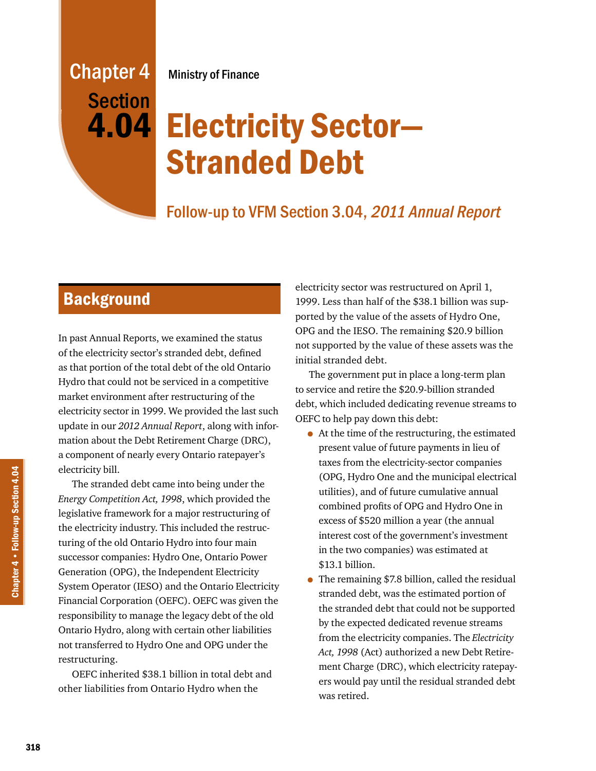#### Chapter 4 Ministry of Finance

# Electricity Sector— Stranded Debt

### Follow-up to VFM Section 3.04, 2011 Annual Report

## **Background**

**Section** 

4.04

In past Annual Reports, we examined the status of the electricity sector's stranded debt, defined as that portion of the total debt of the old Ontario Hydro that could not be serviced in a competitive market environment after restructuring of the electricity sector in 1999. We provided the last such update in our *2012 Annual Report*, along with information about the Debt Retirement Charge (DRC), a component of nearly every Ontario ratepayer's electricity bill.

The stranded debt came into being under the *Energy Competition Act, 1998*, which provided the legislative framework for a major restructuring of the electricity industry. This included the restructuring of the old Ontario Hydro into four main successor companies: Hydro One, Ontario Power Generation (OPG), the Independent Electricity System Operator (IESO) and the Ontario Electricity Financial Corporation (OEFC). OEFC was given the responsibility to manage the legacy debt of the old Ontario Hydro, along with certain other liabilities not transferred to Hydro One and OPG under the restructuring.

OEFC inherited \$38.1 billion in total debt and other liabilities from Ontario Hydro when the

electricity sector was restructured on April 1, 1999. Less than half of the \$38.1 billion was supported by the value of the assets of Hydro One, OPG and the IESO. The remaining \$20.9 billion not supported by the value of these assets was the initial stranded debt.

The government put in place a long-term plan to service and retire the \$20.9-billion stranded debt, which included dedicating revenue streams to OEFC to help pay down this debt:

- At the time of the restructuring, the estimated present value of future payments in lieu of taxes from the electricity-sector companies (OPG, Hydro One and the municipal electrical utilities), and of future cumulative annual combined profits of OPG and Hydro One in excess of \$520 million a year (the annual interest cost of the government's investment in the two companies) was estimated at \$13.1 billion.
- The remaining \$7.8 billion, called the residual stranded debt, was the estimated portion of the stranded debt that could not be supported by the expected dedicated revenue streams from the electricity companies. The *Electricity Act, 1998* (Act) authorized a new Debt Retirement Charge (DRC), which electricity ratepayers would pay until the residual stranded debt was retired.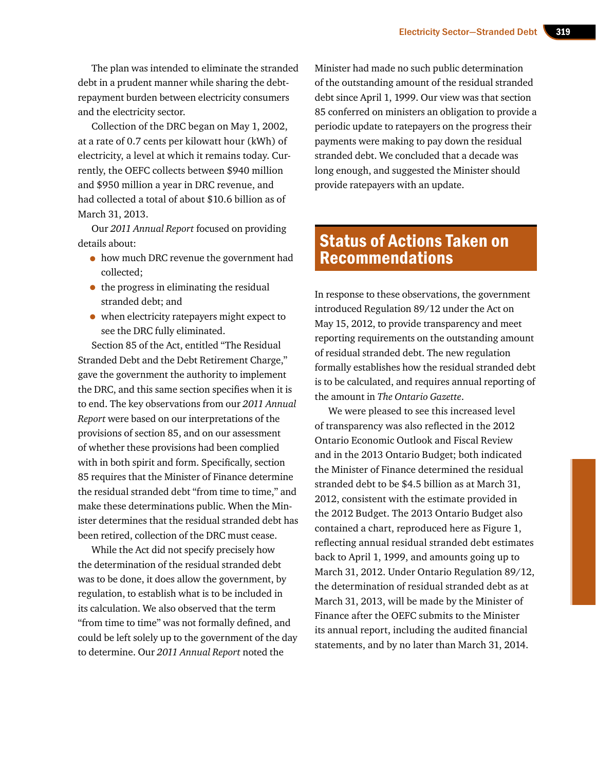The plan was intended to eliminate the stranded debt in a prudent manner while sharing the debtrepayment burden between electricity consumers and the electricity sector.

Collection of the DRC began on May 1, 2002, at a rate of 0.7 cents per kilowatt hour (kWh) of electricity, a level at which it remains today. Currently, the OEFC collects between \$940 million and \$950 million a year in DRC revenue, and had collected a total of about \$10.6 billion as of March 31, 2013.

Our *2011 Annual Report* focused on providing details about:

- how much DRC revenue the government had collected;
- the progress in eliminating the residual stranded debt; and
- when electricity ratepayers might expect to see the DRC fully eliminated.

Section 85 of the Act, entitled "The Residual Stranded Debt and the Debt Retirement Charge," gave the government the authority to implement the DRC, and this same section specifies when it is to end. The key observations from our *2011 Annual Report* were based on our interpretations of the provisions of section 85, and on our assessment of whether these provisions had been complied with in both spirit and form. Specifically, section 85 requires that the Minister of Finance determine the residual stranded debt "from time to time," and make these determinations public. When the Minister determines that the residual stranded debt has been retired, collection of the DRC must cease.

While the Act did not specify precisely how the determination of the residual stranded debt was to be done, it does allow the government, by regulation, to establish what is to be included in its calculation. We also observed that the term "from time to time" was not formally defined, and could be left solely up to the government of the day to determine. Our *2011 Annual Report* noted the

Minister had made no such public determination of the outstanding amount of the residual stranded debt since April 1, 1999. Our view was that section 85 conferred on ministers an obligation to provide a periodic update to ratepayers on the progress their payments were making to pay down the residual stranded debt. We concluded that a decade was long enough, and suggested the Minister should provide ratepayers with an update.

#### Status of Actions Taken on Recommendations

In response to these observations, the government introduced Regulation 89/12 under the Act on May 15, 2012, to provide transparency and meet reporting requirements on the outstanding amount of residual stranded debt. The new regulation formally establishes how the residual stranded debt is to be calculated, and requires annual reporting of the amount in *The Ontario Gazette*.

We were pleased to see this increased level of transparency was also reflected in the 2012 Ontario Economic Outlook and Fiscal Review and in the 2013 Ontario Budget; both indicated the Minister of Finance determined the residual stranded debt to be \$4.5 billion as at March 31, 2012, consistent with the estimate provided in the 2012 Budget. The 2013 Ontario Budget also contained a chart, reproduced here as Figure 1, reflecting annual residual stranded debt estimates back to April 1, 1999, and amounts going up to March 31, 2012. Under Ontario Regulation 89/12, the determination of residual stranded debt as at March 31, 2013, will be made by the Minister of Finance after the OEFC submits to the Minister its annual report, including the audited financial statements, and by no later than March 31, 2014.